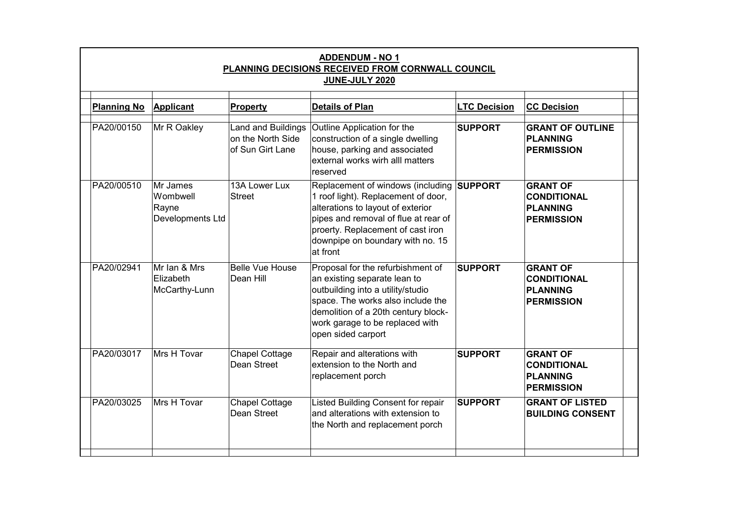| <b>ADDENDUM - NO 1</b><br>PLANNING DECISIONS RECEIVED FROM CORNWALL COUNCIL<br>JUNE-JULY 2020 |                                                   |                                                                    |                                                                                                                                                                                                                                                    |                     |                                                                               |  |  |  |  |
|-----------------------------------------------------------------------------------------------|---------------------------------------------------|--------------------------------------------------------------------|----------------------------------------------------------------------------------------------------------------------------------------------------------------------------------------------------------------------------------------------------|---------------------|-------------------------------------------------------------------------------|--|--|--|--|
| <b>Planning No</b>                                                                            | Applicant                                         | <b>Property</b>                                                    | <b>Details of Plan</b>                                                                                                                                                                                                                             | <b>LTC Decision</b> | <b>CC Decision</b>                                                            |  |  |  |  |
| PA20/00150                                                                                    | Mr R Oakley                                       | <b>Land and Buildings</b><br>on the North Side<br>of Sun Girt Lane | Outline Application for the<br>construction of a single dwelling<br>house, parking and associated<br>external works wirh alll matters<br>reserved                                                                                                  | <b>SUPPORT</b>      | <b>GRANT OF OUTLINE</b><br><b>PLANNING</b><br><b>PERMISSION</b>               |  |  |  |  |
| PA20/00510                                                                                    | Mr James<br>Wombwell<br>Rayne<br>Developments Ltd | 13A Lower Lux<br><b>Street</b>                                     | Replacement of windows (including SUPPORT<br>1 roof light). Replacement of door,<br>alterations to layout of exterior<br>pipes and removal of flue at rear of<br>proerty. Replacement of cast iron<br>downpipe on boundary with no. 15<br>at front |                     | <b>GRANT OF</b><br><b>CONDITIONAL</b><br><b>PLANNING</b><br><b>PERMISSION</b> |  |  |  |  |
| PA20/02941                                                                                    | Mr Ian & Mrs<br>Elizabeth<br>McCarthy-Lunn        | <b>Belle Vue House</b><br>Dean Hill                                | Proposal for the refurbishment of<br>an existing separate lean to<br>outbuilding into a utility/studio<br>space. The works also include the<br>demolition of a 20th century block-<br>work garage to be replaced with<br>open sided carport        | <b>SUPPORT</b>      | <b>GRANT OF</b><br><b>CONDITIONAL</b><br><b>PLANNING</b><br><b>PERMISSION</b> |  |  |  |  |
| PA20/03017                                                                                    | Mrs H Tovar                                       | <b>Chapel Cottage</b><br>Dean Street                               | Repair and alterations with<br>extension to the North and<br>replacement porch                                                                                                                                                                     | <b>SUPPORT</b>      | <b>GRANT OF</b><br><b>CONDITIONAL</b><br><b>PLANNING</b><br><b>PERMISSION</b> |  |  |  |  |
| PA20/03025                                                                                    | Mrs H Tovar                                       | <b>Chapel Cottage</b><br>Dean Street                               | Listed Building Consent for repair<br>and alterations with extension to<br>the North and replacement porch                                                                                                                                         | <b>SUPPORT</b>      | <b>GRANT OF LISTED</b><br><b>BUILDING CONSENT</b>                             |  |  |  |  |